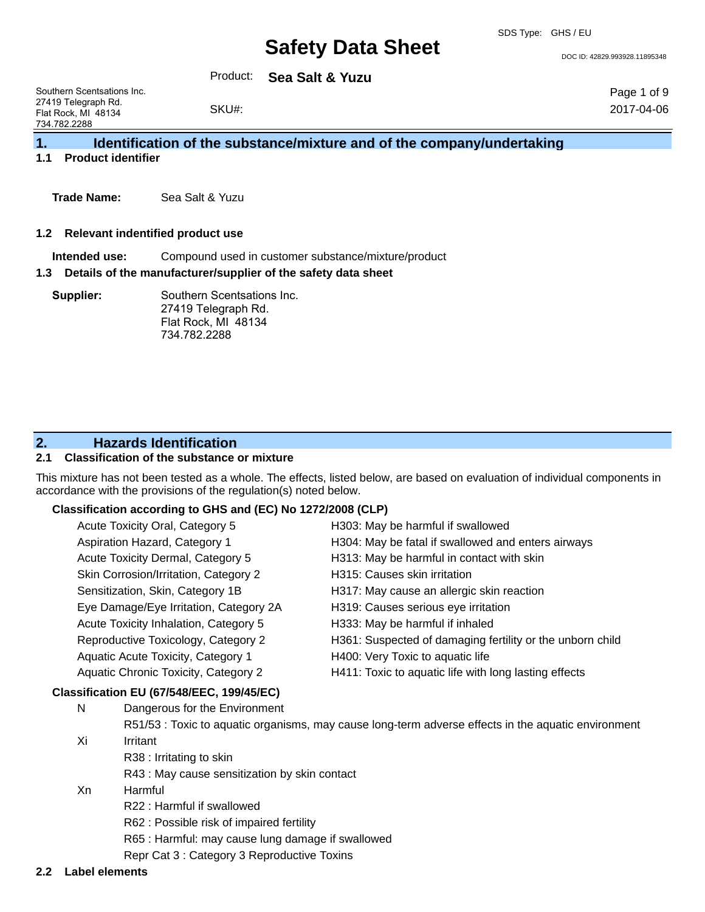DOC ID: 42829.993928.11895348

Page 1 of 9 2017-04-06

Product: **Sea Salt & Yuzu**

Southern Scentsations Inc. 27419 Telegraph Rd. Flat Rock, MI 48134 734.782.2288

### **1. Identification of the substance/mixture and of the company/undertaking**

**1.1 Product identifier**

**Trade Name:** Sea Salt & Yuzu

#### **1.2 Relevant indentified product use**

**Intended use:** Compound used in customer substance/mixture/product

#### **1.3 Details of the manufacturer/supplier of the safety data sheet**

**Supplier:** Southern Scentsations Inc. 27419 Telegraph Rd. Flat Rock, MI 48134 734.782.2288

SKU#:

## **2. Hazards Identification**

### **2.1 Classification of the substance or mixture**

This mixture has not been tested as a whole. The effects, listed below, are based on evaluation of individual components in accordance with the provisions of the regulation(s) noted below.

### **Classification according to GHS and (EC) No 1272/2008 (CLP)**

| Acute Toxicity Oral, Category 5             | H303: May be harmful if swallowed                         |
|---------------------------------------------|-----------------------------------------------------------|
| Aspiration Hazard, Category 1               | H304: May be fatal if swallowed and enters airways        |
| Acute Toxicity Dermal, Category 5           | H313: May be harmful in contact with skin                 |
| Skin Corrosion/Irritation, Category 2       | H315: Causes skin irritation                              |
| Sensitization, Skin, Category 1B            | H317: May cause an allergic skin reaction                 |
| Eye Damage/Eye Irritation, Category 2A      | H319: Causes serious eye irritation                       |
| Acute Toxicity Inhalation, Category 5       | H333: May be harmful if inhaled                           |
| Reproductive Toxicology, Category 2         | H361: Suspected of damaging fertility or the unborn child |
| Aquatic Acute Toxicity, Category 1          | H400: Very Toxic to aquatic life                          |
| <b>Aquatic Chronic Toxicity, Category 2</b> | H411: Toxic to aquatic life with long lasting effects     |

### **Classification EU (67/548/EEC, 199/45/EC)**

- N Dangerous for the Environment
- R51/53 : Toxic to aquatic organisms, may cause long-term adverse effects in the aquatic environment Xi Irritant
	- R38 : Irritating to skin
		- R43 : May cause sensitization by skin contact
- Xn Harmful
	- R22 : Harmful if swallowed
	- R62 : Possible risk of impaired fertility
	- R65 : Harmful: may cause lung damage if swallowed
	- Repr Cat 3 : Category 3 Reproductive Toxins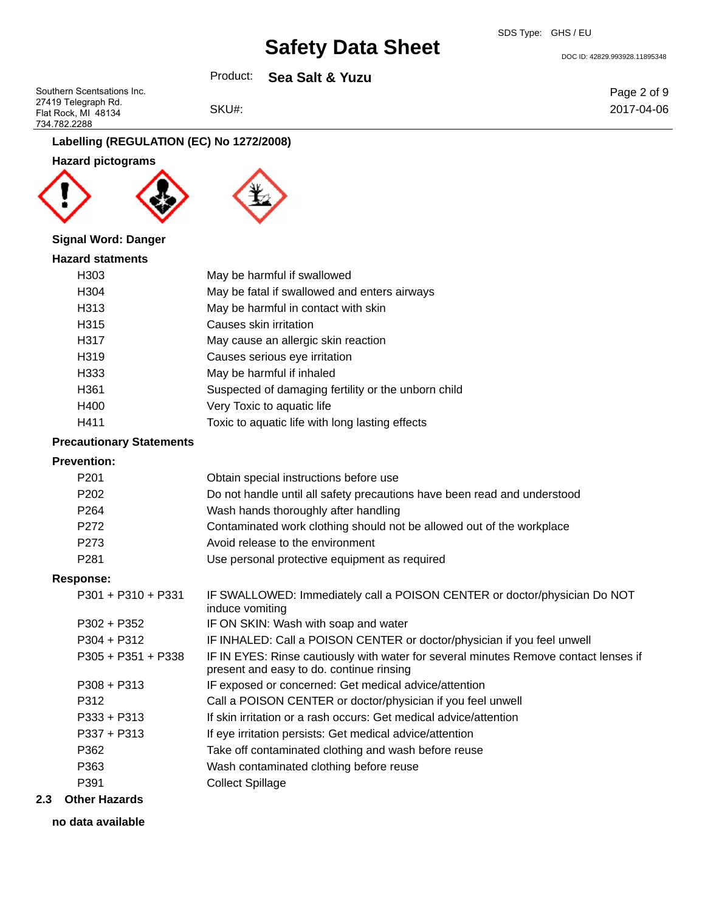SDS Type: GHS / EU

DOC ID: 42829.993928.11895348

Product: **Sea Salt & Yuzu**

Southern Scentsations Inc. 27419 Telegraph Rd. Flat Rock, MI 48134 734.782.2288

SKU#:

Page 2 of 9 2017-04-06

**Labelling (REGULATION (EC) No 1272/2008)**

**Hazard pictograms**





## **Signal Word: Danger**

| <b>Hazard statments</b> |                                                     |
|-------------------------|-----------------------------------------------------|
| H303                    | May be harmful if swallowed                         |
| H304                    | May be fatal if swallowed and enters airways        |
| H313                    | May be harmful in contact with skin                 |
| H315                    | Causes skin irritation                              |
| H317                    | May cause an allergic skin reaction                 |
| H319                    | Causes serious eye irritation                       |
| H333                    | May be harmful if inhaled                           |
| H361                    | Suspected of damaging fertility or the unborn child |
| H400                    | Very Toxic to aquatic life                          |
| H411                    | Toxic to aquatic life with long lasting effects     |

#### **Precautionary Statements**

### **Prevention:**

| Obtain special instructions before use                                                                                           |
|----------------------------------------------------------------------------------------------------------------------------------|
| Do not handle until all safety precautions have been read and understood                                                         |
| Wash hands thoroughly after handling                                                                                             |
| Contaminated work clothing should not be allowed out of the workplace                                                            |
| Avoid release to the environment                                                                                                 |
| Use personal protective equipment as required                                                                                    |
|                                                                                                                                  |
| IF SWALLOWED: Immediately call a POISON CENTER or doctor/physician Do NOT<br>induce vomiting                                     |
| IF ON SKIN: Wash with soap and water                                                                                             |
| IF INHALED: Call a POISON CENTER or doctor/physician if you feel unwell                                                          |
| IF IN EYES: Rinse cautiously with water for several minutes Remove contact lenses if<br>present and easy to do. continue rinsing |
| IF exposed or concerned: Get medical advice/attention                                                                            |
| Call a POISON CENTER or doctor/physician if you feel unwell                                                                      |
| If skin irritation or a rash occurs: Get medical advice/attention                                                                |
| If eye irritation persists: Get medical advice/attention                                                                         |
| Take off contaminated clothing and wash before reuse                                                                             |
|                                                                                                                                  |

- P363 Wash contaminated clothing before reuse
- P391 Collect Spillage
- **2.3 Other Hazards**
	- **no data available**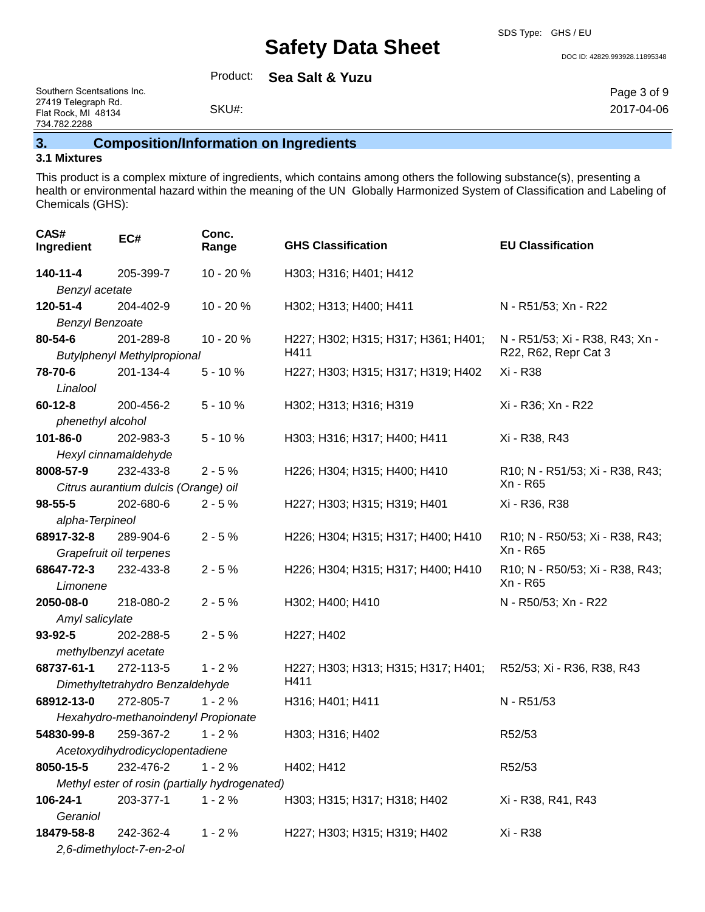SDS Type: GHS / EU

DOC ID: 42829.993928.11895348

Product: **Sea Salt & Yuzu**

Southern Scentsations Inc. 27419 Telegraph Rd. Flat Rock, MI 48134 734.782.2288

## **3. Composition/Information on Ingredients**

SKU#:

### **3.1 Mixtures**

This product is a complex mixture of ingredients, which contains among others the following substance(s), presenting a health or environmental hazard within the meaning of the UN Globally Harmonized System of Classification and Labeling of Chemicals (GHS):

| CAS#<br>Ingredient                             | EC#                                  | Conc.<br>Range | <b>GHS Classification</b>           | <b>EU Classification</b>                    |
|------------------------------------------------|--------------------------------------|----------------|-------------------------------------|---------------------------------------------|
| 140-11-4                                       | 205-399-7                            | 10 - 20 %      | H303; H316; H401; H412              |                                             |
| Benzyl acetate                                 |                                      |                |                                     |                                             |
| 120-51-4                                       | 204-402-9                            | 10 - 20 %      | H302; H313; H400; H411              | N - R51/53; Xn - R22                        |
| <b>Benzyl Benzoate</b>                         |                                      |                |                                     |                                             |
| 80-54-6                                        | 201-289-8                            | 10 - 20 %      | H227; H302; H315; H317; H361; H401; | N - R51/53; Xi - R38, R43; Xn -             |
|                                                | <b>Butylphenyl Methylpropional</b>   |                | H411                                | R22, R62, Repr Cat 3                        |
| 78-70-6                                        | 201-134-4                            | $5 - 10%$      | H227; H303; H315; H317; H319; H402  | Xi - R38                                    |
| Linalool                                       |                                      |                |                                     |                                             |
| $60 - 12 - 8$                                  | 200-456-2                            | $5 - 10%$      | H302; H313; H316; H319              | Xi - R36; Xn - R22                          |
| phenethyl alcohol                              |                                      |                |                                     |                                             |
| 101-86-0                                       | 202-983-3                            | $5 - 10%$      | H303; H316; H317; H400; H411        | Xi - R38, R43                               |
|                                                | Hexyl cinnamaldehyde                 |                |                                     |                                             |
| 8008-57-9                                      | 232-433-8                            | $2 - 5%$       | H226; H304; H315; H400; H410        | R10; N - R51/53; Xi - R38, R43;             |
|                                                | Citrus aurantium dulcis (Orange) oil |                |                                     | Xn - R65                                    |
| 98-55-5                                        | 202-680-6                            | $2 - 5%$       | H227; H303; H315; H319; H401        | Xi - R36, R38                               |
| alpha-Terpineol                                |                                      |                |                                     |                                             |
| 68917-32-8                                     | 289-904-6                            | $2 - 5%$       | H226; H304; H315; H317; H400; H410  | R10; N - R50/53; Xi - R38, R43;             |
|                                                | Grapefruit oil terpenes              |                |                                     | Xn - R65                                    |
| 68647-72-3<br>Limonene                         | 232-433-8                            | $2 - 5%$       | H226; H304; H315; H317; H400; H410  | R10; N - R50/53; Xi - R38, R43;<br>Xn - R65 |
| 2050-08-0                                      | 218-080-2                            | $2 - 5%$       | H302; H400; H410                    | N - R50/53; Xn - R22                        |
| Amyl salicylate                                |                                      |                |                                     |                                             |
| 93-92-5                                        | 202-288-5                            | $2 - 5%$       | H227; H402                          |                                             |
| methylbenzyl acetate                           |                                      |                |                                     |                                             |
| 68737-61-1                                     | 272-113-5                            | $1 - 2%$       | H227; H303; H313; H315; H317; H401; | R52/53; Xi - R36, R38, R43                  |
|                                                | Dimethyltetrahydro Benzaldehyde      |                | H411                                |                                             |
| 68912-13-0                                     | 272-805-7                            | $1 - 2%$       | H316; H401; H411                    | N - R51/53                                  |
|                                                | Hexahydro-methanoindenyl Propionate  |                |                                     |                                             |
| 54830-99-8                                     | 259-367-2                            | $1 - 2%$       | H303; H316; H402                    | R52/53                                      |
| Acetoxydihydrodicyclopentadiene                |                                      |                |                                     |                                             |
| 8050-15-5                                      | 232-476-2                            | $1 - 2%$       | H402; H412                          | R52/53                                      |
| Methyl ester of rosin (partially hydrogenated) |                                      |                |                                     |                                             |
| 106-24-1                                       | 203-377-1                            | $1 - 2%$       | H303; H315; H317; H318; H402        | Xi - R38, R41, R43                          |
| Geraniol                                       |                                      |                |                                     |                                             |
| 18479-58-8                                     | 242-362-4                            | $1 - 2%$       | H227; H303; H315; H319; H402        | Xi - R38                                    |
|                                                | 2,6-dimethyloct-7-en-2-ol            |                |                                     |                                             |

Page 3 of 9 2017-04-06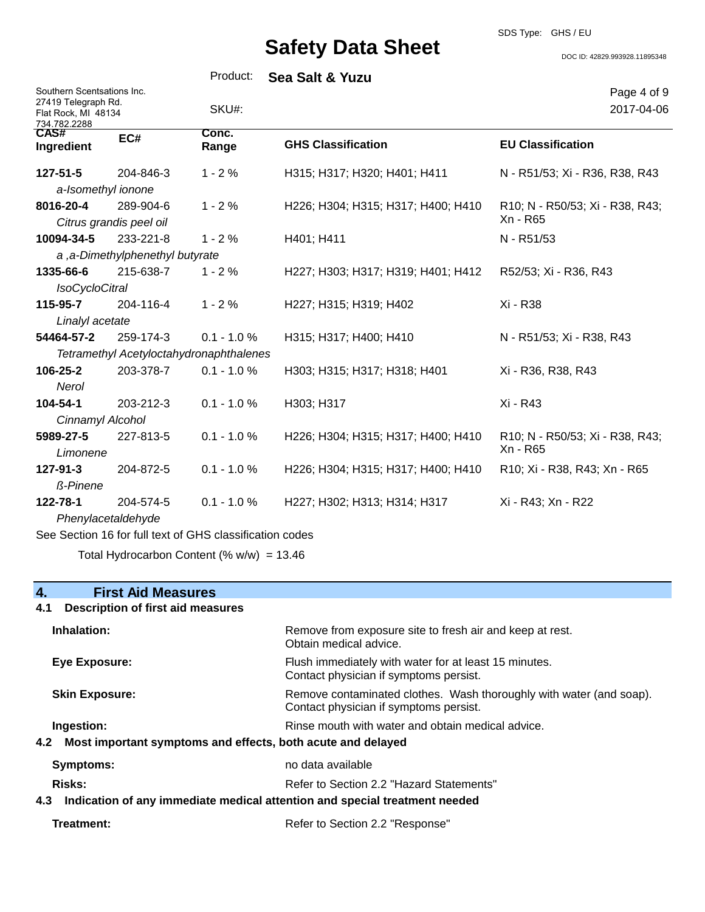SDS Type: GHS / EU

DOC ID: 42829.993928.11895348

|                                                                                          |                                      | Product:                                                 | <b>Sea Salt &amp; Yuzu</b>         |                                             |
|------------------------------------------------------------------------------------------|--------------------------------------|----------------------------------------------------------|------------------------------------|---------------------------------------------|
| Southern Scentsations Inc.<br>27419 Telegraph Rd.<br>Flat Rock, MI 48134<br>734.782.2288 |                                      | SKU#:                                                    |                                    | Page 4 of 9<br>2017-04-06                   |
| CAS#<br>Ingredient                                                                       | EC#                                  | Conc.<br>Range                                           | <b>GHS Classification</b>          | <b>EU Classification</b>                    |
| 127-51-5                                                                                 | 204-846-3                            | $1 - 2%$                                                 | H315; H317; H320; H401; H411       | N - R51/53; Xi - R36, R38, R43              |
|                                                                                          | a-Isomethyl ionone                   |                                                          |                                    |                                             |
| 8016-20-4                                                                                | 289-904-6<br>Citrus grandis peel oil | $1 - 2%$                                                 | H226; H304; H315; H317; H400; H410 | R10; N - R50/53; Xi - R38, R43;<br>Xn - R65 |
| 10094-34-5                                                                               | 233-221-8                            | $1 - 2%$                                                 | H401; H411                         | N - R51/53                                  |
|                                                                                          | a, a-Dimethylphenethyl butyrate      |                                                          |                                    |                                             |
| 1335-66-6                                                                                | 215-638-7                            | $1 - 2%$                                                 | H227; H303; H317; H319; H401; H412 | R52/53; Xi - R36, R43                       |
| <b>IsoCycloCitral</b>                                                                    |                                      |                                                          |                                    |                                             |
| 115-95-7                                                                                 | 204-116-4                            | $1 - 2%$                                                 | H227; H315; H319; H402             | Xi - R38                                    |
| Linalyl acetate                                                                          |                                      |                                                          |                                    |                                             |
| 54464-57-2                                                                               | 259-174-3                            | $0.1 - 1.0 %$                                            | H315; H317; H400; H410             | N - R51/53; Xi - R38, R43                   |
|                                                                                          |                                      | Tetramethyl Acetyloctahydronaphthalenes                  |                                    |                                             |
| 106-25-2                                                                                 | 203-378-7                            | $0.1 - 1.0 %$                                            | H303; H315; H317; H318; H401       | Xi - R36, R38, R43                          |
| Nerol                                                                                    |                                      |                                                          |                                    |                                             |
| 104-54-1                                                                                 | 203-212-3                            | $0.1 - 1.0 %$                                            | H303; H317                         | Xi - R43                                    |
| Cinnamyl Alcohol                                                                         |                                      |                                                          |                                    |                                             |
| 5989-27-5<br>Limonene                                                                    | 227-813-5                            | $0.1 - 1.0 %$                                            | H226; H304; H315; H317; H400; H410 | R10; N - R50/53; Xi - R38, R43;<br>Xn - R65 |
| 127-91-3<br><b>ß-Pinene</b>                                                              | 204-872-5                            | $0.1 - 1.0 %$                                            | H226; H304; H315; H317; H400; H410 | R10; Xi - R38, R43; Xn - R65                |
| 122-78-1                                                                                 | 204-574-5                            | $0.1 - 1.0 %$                                            | H227; H302; H313; H314; H317       | Xi - R43; Xn - R22                          |
|                                                                                          | Phenylacetaldehyde                   |                                                          |                                    |                                             |
|                                                                                          |                                      | See Section 16 for full text of GHS classification codes |                                    |                                             |
|                                                                                          |                                      |                                                          |                                    |                                             |

Total Hydrocarbon Content (%  $w/w$ ) = 13.46

## **4. First Aid Measures**

## **4.1 Description of first aid measures**

| Inhalation:                                                                       | Remove from exposure site to fresh air and keep at rest.<br>Obtain medical advice.                            |  |
|-----------------------------------------------------------------------------------|---------------------------------------------------------------------------------------------------------------|--|
| Eye Exposure:                                                                     | Flush immediately with water for at least 15 minutes.<br>Contact physician if symptoms persist.               |  |
| <b>Skin Exposure:</b>                                                             | Remove contaminated clothes. Wash thoroughly with water (and soap).<br>Contact physician if symptoms persist. |  |
| Ingestion:                                                                        | Rinse mouth with water and obtain medical advice.                                                             |  |
| 4.2 Most important symptoms and effects, both acute and delayed                   |                                                                                                               |  |
| <b>Symptoms:</b>                                                                  | no data available                                                                                             |  |
| Risks:                                                                            | Refer to Section 2.2 "Hazard Statements"                                                                      |  |
| Indication of any immediate medical attention and special treatment needed<br>4.3 |                                                                                                               |  |

| Treatment: | Refer to Section 2.2 "Response" |
|------------|---------------------------------|
|------------|---------------------------------|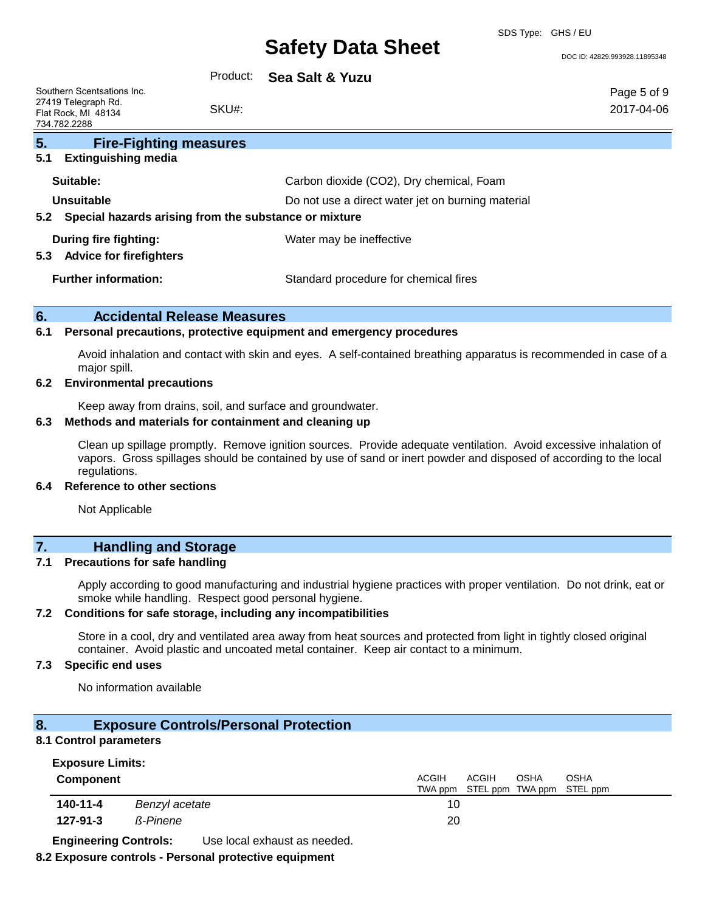SDS Type: GHS / EU

DOC ID: 42829.993928.11895348

| Southern Scentsations Inc.<br>27419 Telegraph Rd.<br>Flat Rock, MI 48134<br>734.782.2288 | Product:<br>SKU#: | Sea Salt & Yuzu                                   | Page 5 of 9<br>2017-04-06 |
|------------------------------------------------------------------------------------------|-------------------|---------------------------------------------------|---------------------------|
| 5.<br><b>Fire-Fighting measures</b>                                                      |                   |                                                   |                           |
| 5.1<br><b>Extinguishing media</b>                                                        |                   |                                                   |                           |
| Suitable:                                                                                |                   | Carbon dioxide (CO2), Dry chemical, Foam          |                           |
| Unsuitable                                                                               |                   | Do not use a direct water jet on burning material |                           |
| Special hazards arising from the substance or mixture<br>5.2                             |                   |                                                   |                           |
| During fire fighting:                                                                    |                   | Water may be ineffective                          |                           |
| <b>Advice for firefighters</b><br>5.3                                                    |                   |                                                   |                           |
| <b>Further information:</b>                                                              |                   | Standard procedure for chemical fires             |                           |

#### **6. Accidental Release Measures**

#### **6.1 Personal precautions, protective equipment and emergency procedures**

Avoid inhalation and contact with skin and eyes. A self-contained breathing apparatus is recommended in case of a major spill.

#### **6.2 Environmental precautions**

Keep away from drains, soil, and surface and groundwater.

#### **6.3 Methods and materials for containment and cleaning up**

Clean up spillage promptly. Remove ignition sources. Provide adequate ventilation. Avoid excessive inhalation of vapors. Gross spillages should be contained by use of sand or inert powder and disposed of according to the local regulations.

#### **6.4 Reference to other sections**

Not Applicable

### **7. Handling and Storage**

#### **7.1 Precautions for safe handling**

Apply according to good manufacturing and industrial hygiene practices with proper ventilation. Do not drink, eat or smoke while handling. Respect good personal hygiene.

#### **7.2 Conditions for safe storage, including any incompatibilities**

Store in a cool, dry and ventilated area away from heat sources and protected from light in tightly closed original container. Avoid plastic and uncoated metal container. Keep air contact to a minimum.

### **7.3 Specific end uses**

No information available

### **8. Exposure Controls/Personal Protection**

#### **8.1 Control parameters**

#### **Exposure Limits:**

| <b>Component</b> |                 | <b>ACGIH</b><br><b>ACGIH</b><br><b>OSHA</b><br>OSHA<br>TWA ppm STEL ppm TWA ppm STEL ppm |  |
|------------------|-----------------|------------------------------------------------------------------------------------------|--|
| 140-11-4         | Benzyl acetate  | 10                                                                                       |  |
| $127 - 91 - 3$   | <b>ß-Pinene</b> | 20                                                                                       |  |

**Engineering Controls:** Use local exhaust as needed.

#### **8.2 Exposure controls - Personal protective equipment**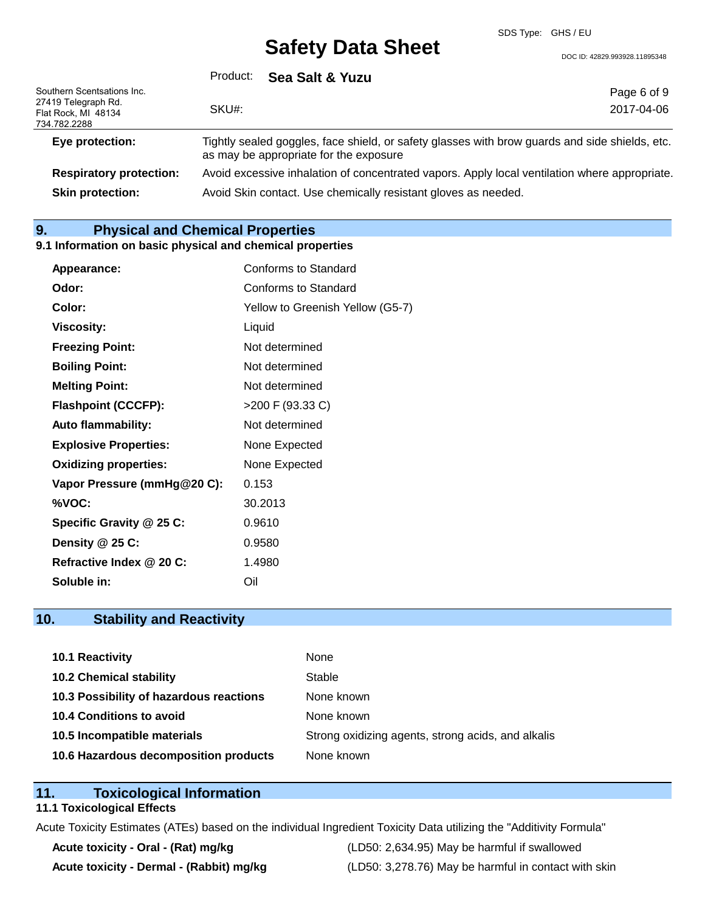DOC ID: 42829.993928.11895348

|                                                                                          | Product:<br>Sea Salt & Yuzu                                                                                                                                     |                           |
|------------------------------------------------------------------------------------------|-----------------------------------------------------------------------------------------------------------------------------------------------------------------|---------------------------|
| Southern Scentsations Inc.<br>27419 Telegraph Rd.<br>Flat Rock, MI 48134<br>734.782.2288 | SKU#:                                                                                                                                                           | Page 6 of 9<br>2017-04-06 |
| Eye protection:                                                                          | Tightly sealed goggles, face shield, or safety glasses with brow guards and side shields, etc.<br>as may be appropriate for the exposure                        |                           |
| <b>Respiratory protection:</b><br><b>Skin protection:</b>                                | Avoid excessive inhalation of concentrated vapors. Apply local ventilation where appropriate.<br>Avoid Skin contact. Use chemically resistant gloves as needed. |                           |

## **9. Physical and Chemical Properties**

#### **9.1 Information on basic physical and chemical properties**

| Appearance:                  | Conforms to Standard             |
|------------------------------|----------------------------------|
| Odor:                        | Conforms to Standard             |
| Color:                       | Yellow to Greenish Yellow (G5-7) |
| <b>Viscosity:</b>            | Liquid                           |
| <b>Freezing Point:</b>       | Not determined                   |
| <b>Boiling Point:</b>        | Not determined                   |
| <b>Melting Point:</b>        | Not determined                   |
| <b>Flashpoint (CCCFP):</b>   | >200 F (93.33 C)                 |
| <b>Auto flammability:</b>    | Not determined                   |
| <b>Explosive Properties:</b> | None Expected                    |
| <b>Oxidizing properties:</b> | None Expected                    |
| Vapor Pressure (mmHg@20 C):  | 0.153                            |
| %VOC:                        | 30.2013                          |
| Specific Gravity @ 25 C:     | 0.9610                           |
| Density @ 25 C:              | 0.9580                           |
| Refractive Index @ 20 C:     | 1.4980                           |
| Soluble in:                  | Oil                              |

## **10. Stability and Reactivity**

| <b>10.1 Reactivity</b>                  | None                                               |
|-----------------------------------------|----------------------------------------------------|
| <b>10.2 Chemical stability</b>          | Stable                                             |
| 10.3 Possibility of hazardous reactions | None known                                         |
| 10.4 Conditions to avoid                | None known                                         |
| 10.5 Incompatible materials             | Strong oxidizing agents, strong acids, and alkalis |
| 10.6 Hazardous decomposition products   | None known                                         |

## **11. Toxicological Information**

## **11.1 Toxicological Effects**

Acute Toxicity Estimates (ATEs) based on the individual Ingredient Toxicity Data utilizing the "Additivity Formula"

**Acute toxicity - Oral - (Rat) mg/kg** (LD50: 2,634.95) May be harmful if swallowed Acute toxicity - Dermal - (Rabbit) mg/kg <br>
(LD50: 3,278.76) May be harmful in contact with skin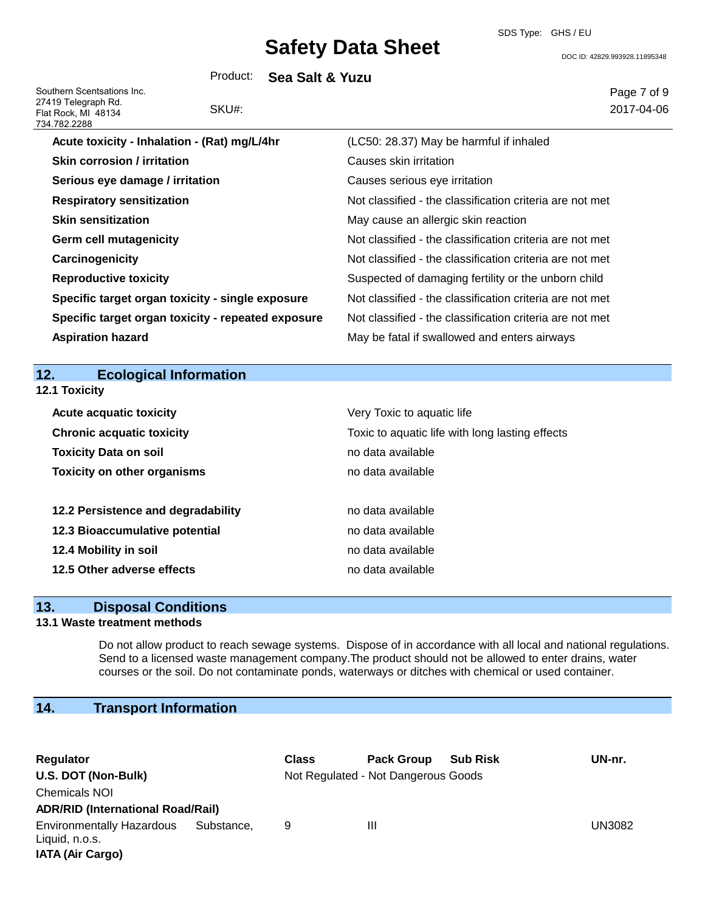SDS Type: GHS / EU

DOC ID: 42829.993928.11895348

Product: **Sea Salt & Yuzu**

Southern Scentsations Inc. 27419 Telegraph Rd. Flat Rock, MI 48134 734.782.2288

# SKU#:

Page 7 of 9 2017-04-06

| 34.762.2266                                        |                                                          |
|----------------------------------------------------|----------------------------------------------------------|
| Acute toxicity - Inhalation - (Rat) mg/L/4hr       | (LC50: 28.37) May be harmful if inhaled                  |
| <b>Skin corrosion / irritation</b>                 | Causes skin irritation                                   |
| Serious eye damage / irritation                    | Causes serious eye irritation                            |
| <b>Respiratory sensitization</b>                   | Not classified - the classification criteria are not met |
| <b>Skin sensitization</b>                          | May cause an allergic skin reaction                      |
| <b>Germ cell mutagenicity</b>                      | Not classified - the classification criteria are not met |
| Carcinogenicity                                    | Not classified - the classification criteria are not met |
| <b>Reproductive toxicity</b>                       | Suspected of damaging fertility or the unborn child      |
| Specific target organ toxicity - single exposure   | Not classified - the classification criteria are not met |
| Specific target organ toxicity - repeated exposure | Not classified - the classification criteria are not met |
| <b>Aspiration hazard</b>                           | May be fatal if swallowed and enters airways             |
|                                                    |                                                          |

## **12. Ecological Information**

| <b>12.1 Toxicity</b>               |                                                 |
|------------------------------------|-------------------------------------------------|
| <b>Acute acquatic toxicity</b>     | Very Toxic to aquatic life                      |
| <b>Chronic acquatic toxicity</b>   | Toxic to aquatic life with long lasting effects |
| <b>Toxicity Data on soil</b>       | no data available                               |
| <b>Toxicity on other organisms</b> | no data available                               |
| 12.2 Persistence and degradability | no data available                               |
| 12.3 Bioaccumulative potential     | no data available                               |
| 12.4 Mobility in soil              | no data available                               |
| 12.5 Other adverse effects         | no data available                               |

### **13. Disposal Conditions**

### **13.1 Waste treatment methods**

Do not allow product to reach sewage systems. Dispose of in accordance with all local and national regulations. Send to a licensed waste management company.The product should not be allowed to enter drains, water courses or the soil. Do not contaminate ponds, waterways or ditches with chemical or used container.

## **14. Transport Information**

| Regulator                                                                     |            | <b>Class</b> | <b>Pack Group</b>                   | <b>Sub Risk</b> | UN-nr.        |
|-------------------------------------------------------------------------------|------------|--------------|-------------------------------------|-----------------|---------------|
| U.S. DOT (Non-Bulk)                                                           |            |              | Not Regulated - Not Dangerous Goods |                 |               |
| <b>Chemicals NOI</b>                                                          |            |              |                                     |                 |               |
| <b>ADR/RID (International Road/Rail)</b>                                      |            |              |                                     |                 |               |
| <b>Environmentally Hazardous</b><br>Liquid, n.o.s.<br><b>IATA (Air Cargo)</b> | Substance. | 9            | Ш                                   |                 | <b>UN3082</b> |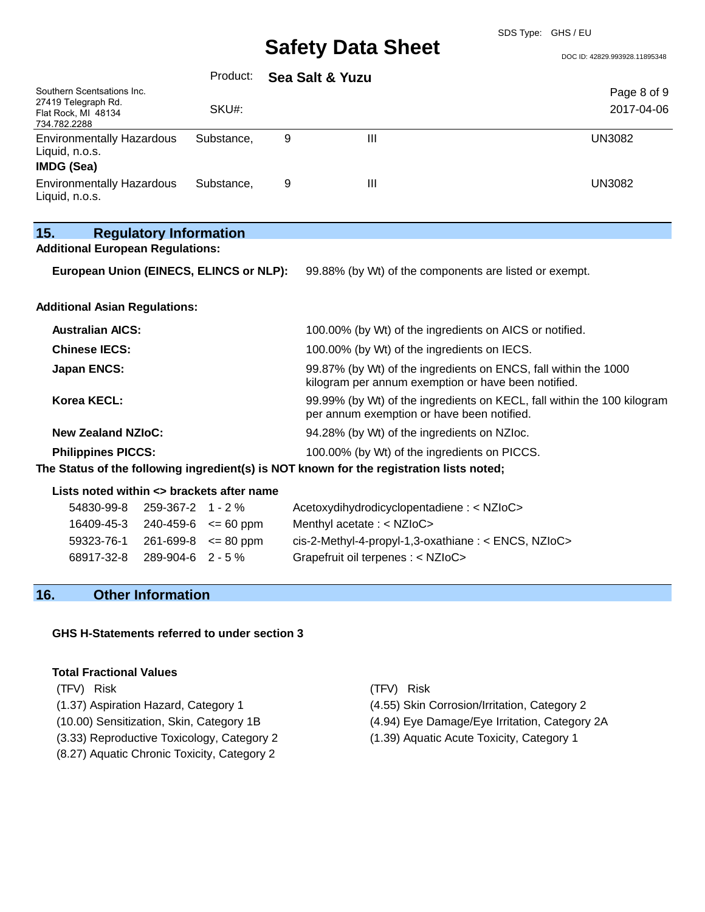DOC ID: 42829.993928.11895348

|                                                                                          |                               | Product:                   |   | Sea Salt & Yuzu                                                                                                        |                           |  |
|------------------------------------------------------------------------------------------|-------------------------------|----------------------------|---|------------------------------------------------------------------------------------------------------------------------|---------------------------|--|
| Southern Scentsations Inc.<br>27419 Telegraph Rd.<br>Flat Rock, MI 48134<br>734.782.2288 |                               | SKU#:                      |   |                                                                                                                        | Page 8 of 9<br>2017-04-06 |  |
| <b>Environmentally Hazardous</b><br>Liquid, n.o.s.<br>IMDG (Sea)                         |                               | Substance,                 | 9 | III                                                                                                                    | <b>UN3082</b>             |  |
| <b>Environmentally Hazardous</b><br>Liquid, n.o.s.                                       |                               | Substance,                 | 9 | III                                                                                                                    | <b>UN3082</b>             |  |
| 15.                                                                                      | <b>Regulatory Information</b> |                            |   |                                                                                                                        |                           |  |
| <b>Additional European Regulations:</b>                                                  |                               |                            |   |                                                                                                                        |                           |  |
| European Union (EINECS, ELINCS or NLP):                                                  |                               |                            |   | 99.88% (by Wt) of the components are listed or exempt.                                                                 |                           |  |
| <b>Additional Asian Regulations:</b>                                                     |                               |                            |   |                                                                                                                        |                           |  |
| <b>Australian AICS:</b>                                                                  |                               |                            |   | 100.00% (by Wt) of the ingredients on AICS or notified.                                                                |                           |  |
| <b>Chinese IECS:</b>                                                                     |                               |                            |   | 100.00% (by Wt) of the ingredients on IECS.                                                                            |                           |  |
| <b>Japan ENCS:</b>                                                                       |                               |                            |   | 99.87% (by Wt) of the ingredients on ENCS, fall within the 1000<br>kilogram per annum exemption or have been notified. |                           |  |
| Korea KECL:                                                                              |                               |                            |   | 99.99% (by Wt) of the ingredients on KECL, fall within the 100 kilogram<br>per annum exemption or have been notified.  |                           |  |
| <b>New Zealand NZIoC:</b>                                                                |                               |                            |   | 94.28% (by Wt) of the ingredients on NZIoc.                                                                            |                           |  |
| <b>Philippines PICCS:</b>                                                                |                               |                            |   | 100.00% (by Wt) of the ingredients on PICCS.                                                                           |                           |  |
|                                                                                          |                               |                            |   | The Status of the following ingredient(s) is NOT known for the registration lists noted;                               |                           |  |
| Lists noted within <> brackets after name                                                |                               |                            |   |                                                                                                                        |                           |  |
| 54830-99-8                                                                               | 259-367-2 1 - 2 %             |                            |   | Acetoxydihydrodicyclopentadiene : < NZIoC>                                                                             |                           |  |
| 16409-45-3                                                                               |                               | $240 - 459 - 6$ <= 60 ppm  |   | Menthyl acetate : < NZIoC>                                                                                             |                           |  |
| 59323-76-1                                                                               |                               | $261 - 699 - 8 \le 80$ ppm |   | cis-2-Methyl-4-propyl-1,3-oxathiane: < ENCS, NZIoC>                                                                    |                           |  |
| 68917-32-8                                                                               | 289-904-6 2 - 5 %             |                            |   | Grapefruit oil terpenes : < NZIoC>                                                                                     |                           |  |

## **16. Other Information**

#### **GHS H-Statements referred to under section 3**

#### **Total Fractional Values**

(TFV) Risk (TFV) Risk

- 
- (3.33) Reproductive Toxicology, Category 2 (1.39) Aquatic Acute Toxicity, Category 1
- (8.27) Aquatic Chronic Toxicity, Category 2
- 
- (1.37) Aspiration Hazard, Category 1 (4.55) Skin Corrosion/Irritation, Category 2
- (10.00) Sensitization, Skin, Category 1B (4.94) Eye Damage/Eye Irritation, Category 2A
	-